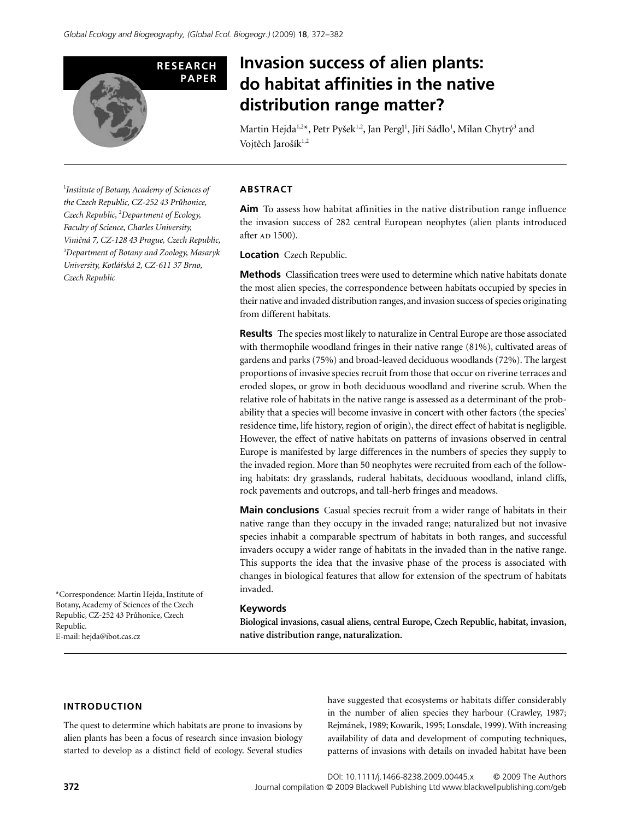

# **Invasion success of alien plants: do habitat affinities in the native distribution range matter?**

Martin Hejda<sup>1,2\*</sup>, Petr Pyšek<sup>1,2</sup>, Jan Pergl<sup>1</sup>, Jiří Sádlo<sup>1</sup>, Milan Chytrý<sup>3</sup> and Vojtěch Jarošík<sup>1,2</sup>

1 *Institute of Botany, Academy of Sciences of the Czech Republic, CZ-252 43 Pruhonice, Czech Republic,* <sup>2</sup> *Department of Ecology, Faculty of Science, Charles University, Vini*4*ná 7, CZ-128 43 Prague, Czech Republic,*  3 *Department of Botany and Zoology, Masaryk University, Kotlá*®*ská 2, CZ-611 37 Brno, Czech Republic*

\*Correspondence: Martin Hejda, Institute of Botany, Academy of Sciences of the Czech Republic, CZ-252 43 Průhonice, Czech Republic. E-mail: [hejda@ibot.cas.cz](mailto:hejda@ibot.cas.cz)

#### **ABSTRACT**

**Aim** To assess how habitat affinities in the native distribution range influence the invasion success of 282 central European neophytes (alien plants introduced after AD 1500).

**Location** Czech Republic.

**Methods** Classification trees were used to determine which native habitats donate the most alien species, the correspondence between habitats occupied by species in their native and invaded distribution ranges, and invasion success of species originating from different habitats.

**Results** The species most likely to naturalize in Central Europe are those associated with thermophile woodland fringes in their native range (81%), cultivated areas of gardens and parks (75%) and broad-leaved deciduous woodlands (72%). The largest proportions of invasive species recruit from those that occur on riverine terraces and eroded slopes, or grow in both deciduous woodland and riverine scrub. When the relative role of habitats in the native range is assessed as a determinant of the probability that a species will become invasive in concert with other factors (the species' residence time, life history, region of origin), the direct effect of habitat is negligible. However, the effect of native habitats on patterns of invasions observed in central Europe is manifested by large differences in the numbers of species they supply to the invaded region. More than 50 neophytes were recruited from each of the following habitats: dry grasslands, ruderal habitats, deciduous woodland, inland cliffs, rock pavements and outcrops, and tall-herb fringes and meadows.

**Main conclusions** Casual species recruit from a wider range of habitats in their native range than they occupy in the invaded range; naturalized but not invasive species inhabit a comparable spectrum of habitats in both ranges, and successful invaders occupy a wider range of habitats in the invaded than in the native range. This supports the idea that the invasive phase of the process is associated with changes in biological features that allow for extension of the spectrum of habitats invaded.

#### **Keywords**

**Biological invasions, casual aliens, central Europe, Czech Republic, habitat, invasion, native distribution range, naturalization.**

## **INTRODUCTION**

The quest to determine which habitats are prone to invasions by alien plants has been a focus of research since invasion biology started to develop as a distinct field of ecology. Several studies have suggested that ecosystems or habitats differ considerably in the number of alien species they harbour (Crawley, 1987; Rejmánek, 1989; Kowarik, 1995; Lonsdale, 1999). With increasing availability of data and development of computing techniques, patterns of invasions with details on invaded habitat have been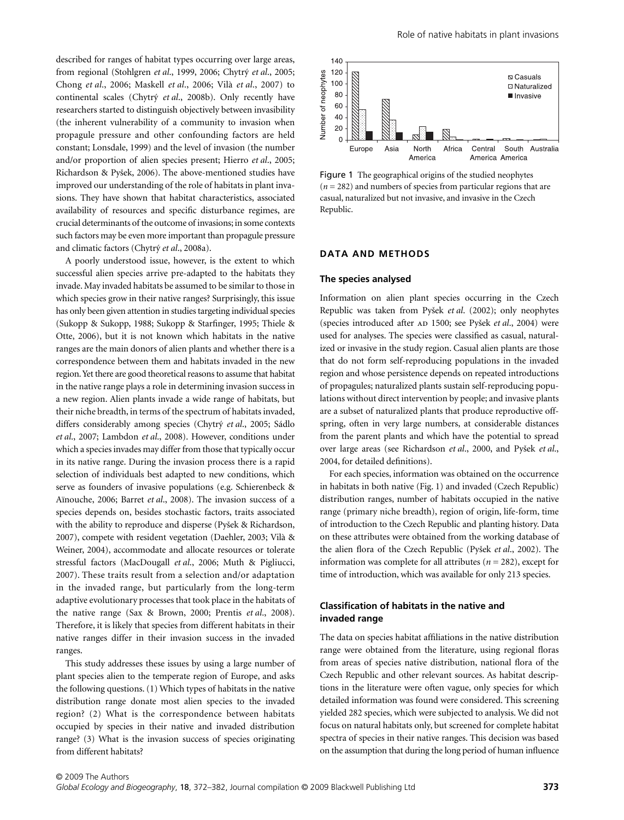described for ranges of habitat types occurring over large areas, from regional (Stohlgren *et al*., 1999, 2006; Chytry *et al*., 2005; Chong *et al*., 2006; Maskell *et al*., 2006; Vilà *et al*., 2007) to continental scales (Chytry *et al*., 2008b). Only recently have researchers started to distinguish objectively between invasibility (the inherent vulnerability of a community to invasion when propagule pressure and other confounding factors are held constant; Lonsdale, 1999) and the level of invasion (the number and/or proportion of alien species present; Hierro *et al*., 2005; Richardson & Pyßek, 2006). The above-mentioned studies have improved our understanding of the role of habitats in plant invasions. They have shown that habitat characteristics, associated availability of resources and specific disturbance regimes, are crucial determinants of the outcome of invasions; in some contexts such factors may be even more important than propagule pressure and climatic factors (Chytry *et al*., 2008a).

A poorly understood issue, however, is the extent to which successful alien species arrive pre-adapted to the habitats they invade. May invaded habitats be assumed to be similar to those in which species grow in their native ranges? Surprisingly, this issue has only been given attention in studies targeting individual species (Sukopp & Sukopp, 1988; Sukopp & Starfinger, 1995; Thiele & Otte, 2006), but it is not known which habitats in the native ranges are the main donors of alien plants and whether there is a correspondence between them and habitats invaded in the new region. Yet there are good theoretical reasons to assume that habitat in the native range plays a role in determining invasion success in a new region. Alien plants invade a wide range of habitats, but their niche breadth, in terms of the spectrum of habitats invaded, differs considerably among species (Chytry *et al*., 2005; Sádlo *et al*., 2007; Lambdon *et al*., 2008). However, conditions under which a species invades may differ from those that typically occur in its native range. During the invasion process there is a rapid selection of individuals best adapted to new conditions, which serve as founders of invasive populations (e.g. Schierenbeck & Aïnouche, 2006; Barret *et al*., 2008). The invasion success of a species depends on, besides stochastic factors, traits associated with the ability to reproduce and disperse (Pyßek & Richardson, 2007), compete with resident vegetation (Daehler, 2003; Vilà & Weiner, 2004), accommodate and allocate resources or tolerate stressful factors (MacDougall *et al*., 2006; Muth & Pigliucci, 2007). These traits result from a selection and/or adaptation in the invaded range, but particularly from the long-term adaptive evolutionary processes that took place in the habitats of the native range (Sax & Brown, 2000; Prentis *et al*., 2008). Therefore, it is likely that species from different habitats in their native ranges differ in their invasion success in the invaded ranges.

This study addresses these issues by using a large number of plant species alien to the temperate region of Europe, and asks the following questions. (1) Which types of habitats in the native distribution range donate most alien species to the invaded region? (2) What is the correspondence between habitats occupied by species in their native and invaded distribution range? (3) What is the invasion success of species originating from different habitats?



Figure 1 The geographical origins of the studied neophytes  $(n = 282)$  and numbers of species from particular regions that are casual, naturalized but not invasive, and invasive in the Czech Republic.

## **DATA AND METHODS**

#### **The species analysed**

Information on alien plant species occurring in the Czech Republic was taken from Pyßek *et al*. (2002); only neophytes (species introduced after AD 1500; see Pyšek et al., 2004) were used for analyses. The species were classified as casual, naturalized or invasive in the study region. Casual alien plants are those that do not form self-reproducing populations in the invaded region and whose persistence depends on repeated introductions of propagules; naturalized plants sustain self-reproducing populations without direct intervention by people; and invasive plants are a subset of naturalized plants that produce reproductive offspring, often in very large numbers, at considerable distances from the parent plants and which have the potential to spread over large areas (see Richardson *et al*., 2000, and Pyßek *et al*., 2004, for detailed definitions).

For each species, information was obtained on the occurrence in habitats in both native (Fig. 1) and invaded (Czech Republic) distribution ranges, number of habitats occupied in the native range (primary niche breadth), region of origin, life-form, time of introduction to the Czech Republic and planting history. Data on these attributes were obtained from the working database of the alien flora of the Czech Republic (Pyßek *et al*., 2002). The information was complete for all attributes (*n* = 282), except for time of introduction, which was available for only 213 species.

## **Classification of habitats in the native and invaded range**

The data on species habitat affiliations in the native distribution range were obtained from the literature, using regional floras from areas of species native distribution, national flora of the Czech Republic and other relevant sources. As habitat descriptions in the literature were often vague, only species for which detailed information was found were considered. This screening yielded 282 species, which were subjected to analysis. We did not focus on natural habitats only, but screened for complete habitat spectra of species in their native ranges. This decision was based on the assumption that during the long period of human influence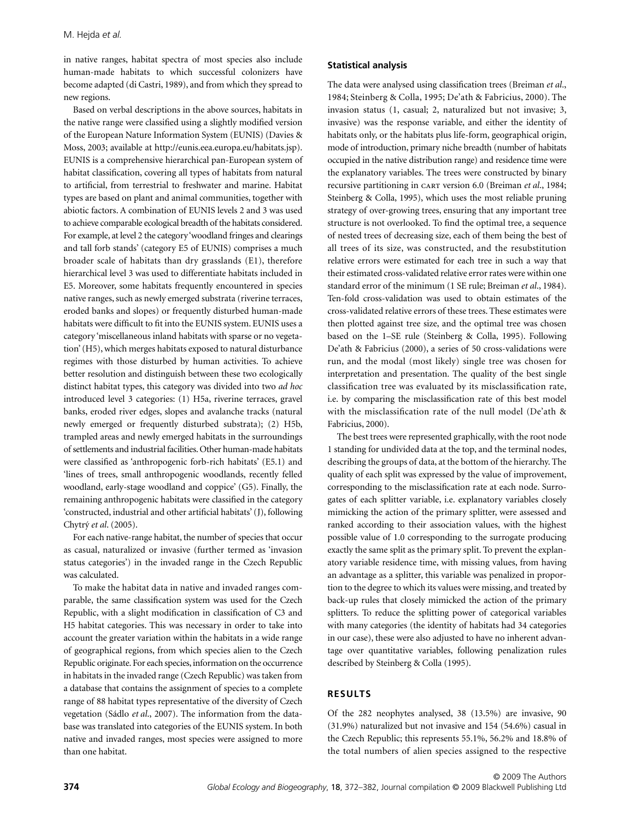in native ranges, habitat spectra of most species also include human-made habitats to which successful colonizers have become adapted (di Castri, 1989), and from which they spread to new regions.

Based on verbal descriptions in the above sources, habitats in the native range were classified using a slightly modified version of the European Nature Information System (EUNIS) (Davies & Moss, 2003; available at [http://eunis.eea.europa.eu/habitats.jsp\).](http://eunis.eea.europa.eu/habitats.jsp) EUNIS is a comprehensive hierarchical pan-European system of habitat classification, covering all types of habitats from natural to artificial, from terrestrial to freshwater and marine. Habitat types are based on plant and animal communities, together with abiotic factors. A combination of EUNIS levels 2 and 3 was used to achieve comparable ecological breadth of the habitats considered. For example, at level 2 the category 'woodland fringes and clearings and tall forb stands' (category E5 of EUNIS) comprises a much broader scale of habitats than dry grasslands (E1), therefore hierarchical level 3 was used to differentiate habitats included in E5. Moreover, some habitats frequently encountered in species native ranges, such as newly emerged substrata (riverine terraces, eroded banks and slopes) or frequently disturbed human-made habitats were difficult to fit into the EUNIS system. EUNIS uses a category 'miscellaneous inland habitats with sparse or no vegetation' (H5), which merges habitats exposed to natural disturbance regimes with those disturbed by human activities. To achieve better resolution and distinguish between these two ecologically distinct habitat types, this category was divided into two *ad hoc* introduced level 3 categories: (1) H5a, riverine terraces, gravel banks, eroded river edges, slopes and avalanche tracks (natural newly emerged or frequently disturbed substrata); (2) H5b, trampled areas and newly emerged habitats in the surroundings of settlements and industrial facilities. Other human-made habitats were classified as 'anthropogenic forb-rich habitats' (E5.1) and 'lines of trees, small anthropogenic woodlands, recently felled woodland, early-stage woodland and coppice' (G5). Finally, the remaining anthropogenic habitats were classified in the category 'constructed, industrial and other artificial habitats' (J), following Chytry *et al*. (2005).

For each native-range habitat, the number of species that occur as casual, naturalized or invasive (further termed as 'invasion status categories') in the invaded range in the Czech Republic was calculated.

To make the habitat data in native and invaded ranges comparable, the same classification system was used for the Czech Republic, with a slight modification in classification of C3 and H5 habitat categories. This was necessary in order to take into account the greater variation within the habitats in a wide range of geographical regions, from which species alien to the Czech Republic originate. For each species, information on the occurrence in habitats in the invaded range (Czech Republic) was taken from a database that contains the assignment of species to a complete range of 88 habitat types representative of the diversity of Czech vegetation (Sádlo *et al*., 2007). The information from the database was translated into categories of the EUNIS system. In both native and invaded ranges, most species were assigned to more than one habitat.

## **Statistical analysis**

The data were analysed using classification trees (Breiman *et al*., 1984; Steinberg & Colla, 1995; De'ath & Fabricius, 2000). The invasion status (1, casual; 2, naturalized but not invasive; 3, invasive) was the response variable, and either the identity of habitats only, or the habitats plus life-form, geographical origin, mode of introduction, primary niche breadth (number of habitats occupied in the native distribution range) and residence time were the explanatory variables. The trees were constructed by binary recursive partitioning in cart version 6.0 (Breiman *et al*., 1984; Steinberg & Colla, 1995), which uses the most reliable pruning strategy of over-growing trees, ensuring that any important tree structure is not overlooked. To find the optimal tree, a sequence of nested trees of decreasing size, each of them being the best of all trees of its size, was constructed, and the resubstitution relative errors were estimated for each tree in such a way that their estimated cross-validated relative error rates were within one standard error of the minimum (1 SE rule; Breiman *et al*., 1984). Ten-fold cross-validation was used to obtain estimates of the cross-validated relative errors of these trees. These estimates were then plotted against tree size, and the optimal tree was chosen based on the 1–SE rule (Steinberg & Colla, 1995). Following De'ath & Fabricius (2000), a series of 50 cross-validations were run, and the modal (most likely) single tree was chosen for interpretation and presentation. The quality of the best single classification tree was evaluated by its misclassification rate, i.e. by comparing the misclassification rate of this best model with the misclassification rate of the null model (De'ath & Fabricius, 2000).

The best trees were represented graphically, with the root node 1 standing for undivided data at the top, and the terminal nodes, describing the groups of data, at the bottom of the hierarchy. The quality of each split was expressed by the value of improvement, corresponding to the misclassification rate at each node. Surrogates of each splitter variable, i.e. explanatory variables closely mimicking the action of the primary splitter, were assessed and ranked according to their association values, with the highest possible value of 1.0 corresponding to the surrogate producing exactly the same split as the primary split. To prevent the explanatory variable residence time, with missing values, from having an advantage as a splitter, this variable was penalized in proportion to the degree to which its values were missing, and treated by back-up rules that closely mimicked the action of the primary splitters. To reduce the splitting power of categorical variables with many categories (the identity of habitats had 34 categories in our case), these were also adjusted to have no inherent advantage over quantitative variables, following penalization rules described by Steinberg & Colla (1995).

## **RESULTS**

Of the 282 neophytes analysed, 38 (13.5%) are invasive, 90 (31.9%) naturalized but not invasive and 154 (54.6%) casual in the Czech Republic; this represents 55.1%, 56.2% and 18.8% of the total numbers of alien species assigned to the respective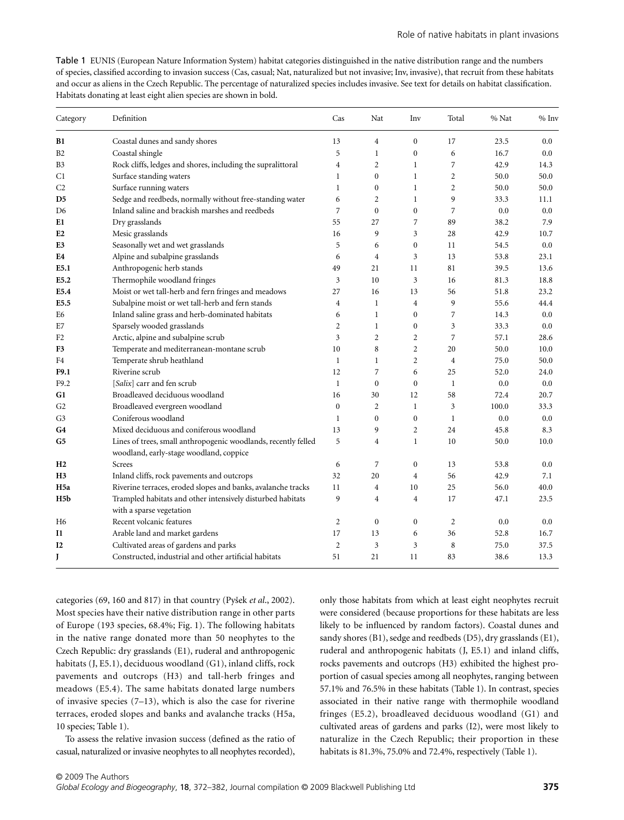Table 1 EUNIS (European Nature Information System) habitat categories distinguished in the native distribution range and the numbers of species, classified according to invasion success (Cas, casual; Nat, naturalized but not invasive; Inv, invasive), that recruit from these habitats and occur as aliens in the Czech Republic. The percentage of naturalized species includes invasive. See text for details on habitat classification. Habitats donating at least eight alien species are shown in bold.

| Category         | Definition                                                                             | Cas            | Nat              | Inv              | Total          | % Nat | % Inv |
|------------------|----------------------------------------------------------------------------------------|----------------|------------------|------------------|----------------|-------|-------|
| B1               | Coastal dunes and sandy shores                                                         | 13             | 4                | $\Omega$         | 17             | 23.5  | 0.0   |
| B <sub>2</sub>   | Coastal shingle                                                                        | 5              | 1                | $\overline{0}$   | 6              | 16.7  | 0.0   |
| B <sub>3</sub>   | Rock cliffs, ledges and shores, including the supralittoral                            | $\overline{4}$ | 2                | $\mathbf{1}$     | 7              | 42.9  | 14.3  |
| C1               | Surface standing waters                                                                | $\mathbf{1}$   | $\boldsymbol{0}$ | $\mathbf{1}$     | $\overline{2}$ | 50.0  | 50.0  |
| C <sub>2</sub>   | Surface running waters                                                                 | $\mathbf{1}$   | $\boldsymbol{0}$ | $\mathbf{1}$     | $\overline{2}$ | 50.0  | 50.0  |
| D5               | Sedge and reedbeds, normally without free-standing water                               | 6              | $\overline{c}$   | $\mathbf{1}$     | 9              | 33.3  | 11.1  |
| D <sub>6</sub>   | Inland saline and brackish marshes and reedbeds                                        | 7              | $\mathbf{0}$     | $\mathbf{0}$     | 7              | 0.0   | 0.0   |
| E1               | Dry grasslands                                                                         | 55             | 27               | 7                | 89             | 38.2  | 7.9   |
| E <sub>2</sub>   | Mesic grasslands                                                                       | 16             | 9                | 3                | 28             | 42.9  | 10.7  |
| E <sub>3</sub>   | Seasonally wet and wet grasslands                                                      | 5              | 6                | $\overline{0}$   | 11             | 54.5  | 0.0   |
| E4               | Alpine and subalpine grasslands                                                        | 6              | $\overline{4}$   | 3                | 13             | 53.8  | 23.1  |
| E5.1             | Anthropogenic herb stands                                                              | 49             | 21               | 11               | 81             | 39.5  | 13.6  |
| E5.2             | Thermophile woodland fringes                                                           | 3              | 10               | 3                | 16             | 81.3  | 18.8  |
| E5.4             | Moist or wet tall-herb and fern fringes and meadows                                    | 27             | 16               | 13               | 56             | 51.8  | 23.2  |
| E5.5             | Subalpine moist or wet tall-herb and fern stands                                       | $\overline{4}$ | $\mathbf{1}$     | $\overline{4}$   | 9              | 55.6  | 44.4  |
| E6               | Inland saline grass and herb-dominated habitats                                        | 6              | $\mathbf{1}$     | $\mathbf{0}$     | 7              | 14.3  | 0.0   |
| E7               | Sparsely wooded grasslands                                                             | $\overline{2}$ | $\mathbf{1}$     | $\mathbf{0}$     | $\overline{3}$ | 33.3  | 0.0   |
| F <sub>2</sub>   | Arctic, alpine and subalpine scrub                                                     | $\overline{3}$ | $\overline{2}$   | $\overline{c}$   | $\overline{7}$ | 57.1  | 28.6  |
| F3               | Temperate and mediterranean-montane scrub                                              | 10             | 8                | $\overline{c}$   | 20             | 50.0  | 10.0  |
| F4               | Temperate shrub heathland                                                              | $\mathbf{1}$   | $\mathbf{1}$     | $\overline{c}$   | $\overline{4}$ | 75.0  | 50.0  |
| F9.1             | Riverine scrub                                                                         | 12             | 7                | 6                | 25             | 52.0  | 24.0  |
| F9.2             | [Salix] carr and fen scrub                                                             | $\mathbf{1}$   | $\boldsymbol{0}$ | $\overline{0}$   | $\mathbf{1}$   | 0.0   | 0.0   |
| G1               | Broadleaved deciduous woodland                                                         | 16             | 30               | 12               | 58             | 72.4  | 20.7  |
| G <sub>2</sub>   | Broadleaved evergreen woodland                                                         | $\overline{0}$ | $\overline{2}$   | $\mathbf{1}$     | 3              | 100.0 | 33.3  |
| G3               | Coniferous woodland                                                                    | 1              | $\mathbf{0}$     | $\mathbf{0}$     | $\mathbf{1}$   | 0.0   | 0.0   |
| G4               | Mixed deciduous and coniferous woodland                                                | 13             | 9                | $\overline{c}$   | 24             | 45.8  | 8.3   |
| G5               | Lines of trees, small anthropogenic woodlands, recently felled                         | 5              | $\overline{4}$   | $\mathbf{1}$     | 10             | 50.0  | 10.0  |
|                  | woodland, early-stage woodland, coppice                                                |                |                  |                  |                |       |       |
| H <sub>2</sub>   | Screes                                                                                 | 6              | 7                | $\overline{0}$   | 13             | 53.8  | 0.0   |
| H3               | Inland cliffs, rock pavements and outcrops                                             | 32             | 20               | $\overline{4}$   | 56             | 42.9  | 7.1   |
| H5a              | Riverine terraces, eroded slopes and banks, avalanche tracks                           | 11             | $\overline{4}$   | 10               | 25             | 56.0  | 40.0  |
| H <sub>5</sub> b | Trampled habitats and other intensively disturbed habitats<br>with a sparse vegetation | 9              | $\overline{4}$   | 4                | 17             | 47.1  | 23.5  |
| H <sub>6</sub>   | Recent volcanic features                                                               | $\overline{c}$ | $\boldsymbol{0}$ | $\boldsymbol{0}$ | $\overline{2}$ | 0.0   | 0.0   |
| $_{\rm II}$      | Arable land and market gardens                                                         | 17             | 13               | 6                | 36             | 52.8  | 16.7  |
| 12               | Cultivated areas of gardens and parks                                                  | $\overline{c}$ | 3                | 3                | 8              | 75.0  | 37.5  |
| J                | Constructed, industrial and other artificial habitats                                  | 51             | 21               | 11               | 83             | 38.6  | 13.3  |

categories (69, 160 and 817) in that country (Pyßek *et al*., 2002). Most species have their native distribution range in other parts of Europe (193 species, 68.4%; Fig. 1). The following habitats in the native range donated more than 50 neophytes to the Czech Republic: dry grasslands (E1), ruderal and anthropogenic habitats (J, E5.1), deciduous woodland (G1), inland cliffs, rock pavements and outcrops (H3) and tall-herb fringes and meadows (E5.4). The same habitats donated large numbers of invasive species (7–13), which is also the case for riverine terraces, eroded slopes and banks and avalanche tracks (H5a, 10 species; Table 1).

To assess the relative invasion success (defined as the ratio of casual, naturalized or invasive neophytes to all neophytes recorded),

only those habitats from which at least eight neophytes recruit were considered (because proportions for these habitats are less likely to be influenced by random factors). Coastal dunes and sandy shores (B1), sedge and reedbeds (D5), dry grasslands (E1), ruderal and anthropogenic habitats (J, E5.1) and inland cliffs, rocks pavements and outcrops (H3) exhibited the highest proportion of casual species among all neophytes, ranging between 57.1% and 76.5% in these habitats (Table 1). In contrast, species associated in their native range with thermophile woodland fringes (E5.2), broadleaved deciduous woodland (G1) and cultivated areas of gardens and parks (I2), were most likely to naturalize in the Czech Republic; their proportion in these habitats is 81.3%, 75.0% and 72.4%, respectively (Table 1).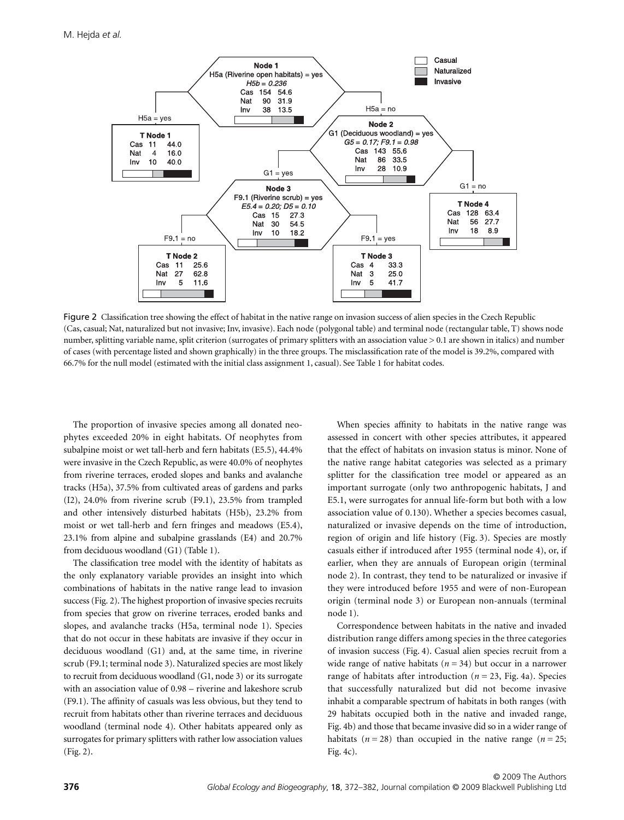

Figure 2 Classification tree showing the effect of habitat in the native range on invasion success of alien species in the Czech Republic (Cas, casual; Nat, naturalized but not invasive; Inv, invasive). Each node (polygonal table) and terminal node (rectangular table, T) shows node number, splitting variable name, split criterion (surrogates of primary splitters with an association value > 0.1 are shown in italics) and number of cases (with percentage listed and shown graphically) in the three groups. The misclassification rate of the model is 39.2%, compared with 66.7% for the null model (estimated with the initial class assignment 1, casual). See Table 1 for habitat codes.

The proportion of invasive species among all donated neophytes exceeded 20% in eight habitats. Of neophytes from subalpine moist or wet tall-herb and fern habitats (E5.5), 44.4% were invasive in the Czech Republic, as were 40.0% of neophytes from riverine terraces, eroded slopes and banks and avalanche tracks (H5a), 37.5% from cultivated areas of gardens and parks (I2), 24.0% from riverine scrub (F9.1), 23.5% from trampled and other intensively disturbed habitats (H5b), 23.2% from moist or wet tall-herb and fern fringes and meadows (E5.4), 23.1% from alpine and subalpine grasslands (E4) and 20.7% from deciduous woodland (G1) (Table 1).

The classification tree model with the identity of habitats as the only explanatory variable provides an insight into which combinations of habitats in the native range lead to invasion success (Fig. 2). The highest proportion of invasive species recruits from species that grow on riverine terraces, eroded banks and slopes, and avalanche tracks (H5a, terminal node 1). Species that do not occur in these habitats are invasive if they occur in deciduous woodland (G1) and, at the same time, in riverine scrub (F9.1; terminal node 3). Naturalized species are most likely to recruit from deciduous woodland (G1, node 3) or its surrogate with an association value of 0.98 – riverine and lakeshore scrub (F9.1). The affinity of casuals was less obvious, but they tend to recruit from habitats other than riverine terraces and deciduous woodland (terminal node 4). Other habitats appeared only as surrogates for primary splitters with rather low association values (Fig. 2).

When species affinity to habitats in the native range was assessed in concert with other species attributes, it appeared that the effect of habitats on invasion status is minor. None of the native range habitat categories was selected as a primary splitter for the classification tree model or appeared as an important surrogate (only two anthropogenic habitats, J and E5.1, were surrogates for annual life-form but both with a low association value of 0.130). Whether a species becomes casual, naturalized or invasive depends on the time of introduction, region of origin and life history (Fig. 3). Species are mostly casuals either if introduced after 1955 (terminal node 4), or, if earlier, when they are annuals of European origin (terminal node 2). In contrast, they tend to be naturalized or invasive if they were introduced before 1955 and were of non-European origin (terminal node 3) or European non-annuals (terminal node 1).

Correspondence between habitats in the native and invaded distribution range differs among species in the three categories of invasion success (Fig. 4). Casual alien species recruit from a wide range of native habitats  $(n = 34)$  but occur in a narrower range of habitats after introduction (*n* = 23, Fig. 4a). Species that successfully naturalized but did not become invasive inhabit a comparable spectrum of habitats in both ranges (with 29 habitats occupied both in the native and invaded range, Fig. 4b) and those that became invasive did so in a wider range of habitats  $(n = 28)$  than occupied in the native range  $(n = 25)$ ; Fig. 4c).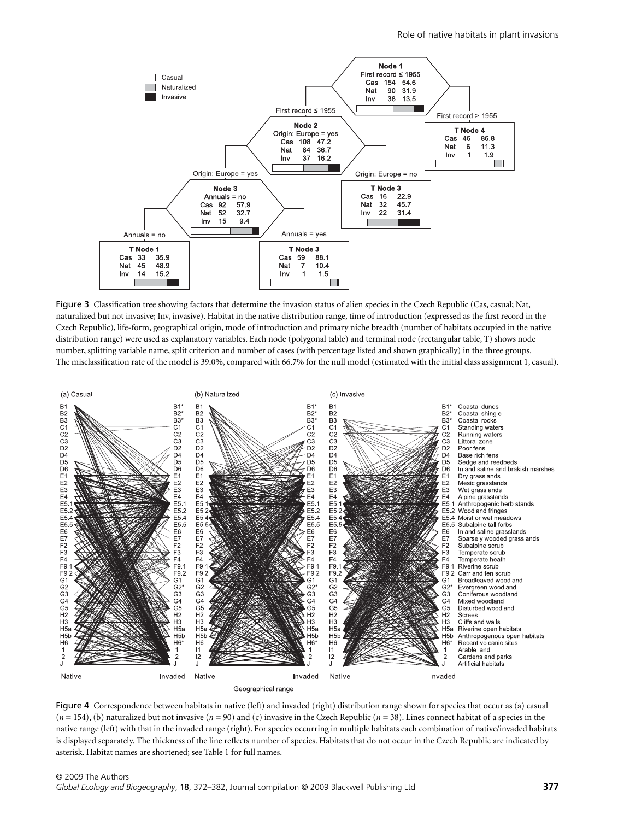

Figure 3 Classification tree showing factors that determine the invasion status of alien species in the Czech Republic (Cas, casual; Nat, naturalized but not invasive; Inv, invasive). Habitat in the native distribution range, time of introduction (expressed as the first record in the Czech Republic), life-form, geographical origin, mode of introduction and primary niche breadth (number of habitats occupied in the native distribution range) were used as explanatory variables. Each node (polygonal table) and terminal node (rectangular table, T) shows node number, splitting variable name, split criterion and number of cases (with percentage listed and shown graphically) in the three groups. The misclassification rate of the model is 39.0%, compared with 66.7% for the null model (estimated with the initial class assignment 1, casual).



Figure 4 Correspondence between habitats in native (left) and invaded (right) distribution range shown for species that occur as (a) casual  $(n = 154)$ , (b) naturalized but not invasive  $(n = 90)$  and (c) invasive in the Czech Republic  $(n = 38)$ . Lines connect habitat of a species in the native range (left) with that in the invaded range (right). For species occurring in multiple habitats each combination of native/invaded habitats is displayed separately. The thickness of the line reflects number of species. Habitats that do not occur in the Czech Republic are indicated by asterisk. Habitat names are shortened; see Table 1 for full names.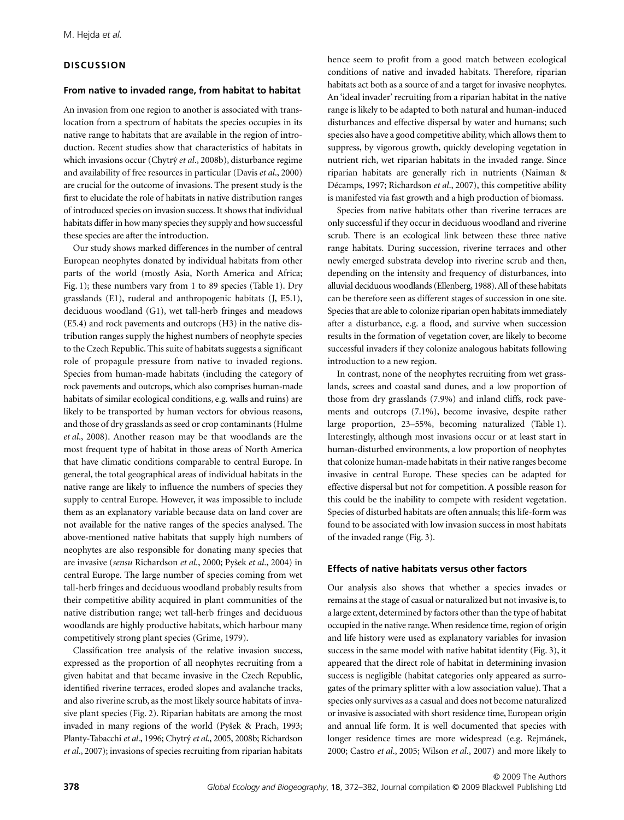## **DISCUSSION**

#### **From native to invaded range, from habitat to habitat**

An invasion from one region to another is associated with translocation from a spectrum of habitats the species occupies in its native range to habitats that are available in the region of introduction. Recent studies show that characteristics of habitats in which invasions occur (Chytry *et al*., 2008b), disturbance regime and availability of free resources in particular (Davis *et al*., 2000) are crucial for the outcome of invasions. The present study is the first to elucidate the role of habitats in native distribution ranges of introduced species on invasion success. It shows that individual habitats differ in how many species they supply and how successful these species are after the introduction.

Our study shows marked differences in the number of central European neophytes donated by individual habitats from other parts of the world (mostly Asia, North America and Africa; Fig. 1); these numbers vary from 1 to 89 species (Table 1). Dry grasslands (E1), ruderal and anthropogenic habitats (J, E5.1), deciduous woodland (G1), wet tall-herb fringes and meadows (E5.4) and rock pavements and outcrops (H3) in the native distribution ranges supply the highest numbers of neophyte species to the Czech Republic. This suite of habitats suggests a significant role of propagule pressure from native to invaded regions. Species from human-made habitats (including the category of rock pavements and outcrops, which also comprises human-made habitats of similar ecological conditions, e.g. walls and ruins) are likely to be transported by human vectors for obvious reasons, and those of dry grasslands as seed or crop contaminants (Hulme *et al*., 2008). Another reason may be that woodlands are the most frequent type of habitat in those areas of North America that have climatic conditions comparable to central Europe. In general, the total geographical areas of individual habitats in the native range are likely to influence the numbers of species they supply to central Europe. However, it was impossible to include them as an explanatory variable because data on land cover are not available for the native ranges of the species analysed. The above-mentioned native habitats that supply high numbers of neophytes are also responsible for donating many species that are invasive (*sensu* Richardson *et al*., 2000; Pyßek *et al*., 2004) in central Europe. The large number of species coming from wet tall-herb fringes and deciduous woodland probably results from their competitive ability acquired in plant communities of the native distribution range; wet tall-herb fringes and deciduous woodlands are highly productive habitats, which harbour many competitively strong plant species (Grime, 1979).

Classification tree analysis of the relative invasion success, expressed as the proportion of all neophytes recruiting from a given habitat and that became invasive in the Czech Republic, identified riverine terraces, eroded slopes and avalanche tracks, and also riverine scrub, as the most likely source habitats of invasive plant species (Fig. 2). Riparian habitats are among the most invaded in many regions of the world (Pyßek & Prach, 1993; Planty-Tabacchi *et al*., 1996; Chytry *et al*., 2005, 2008b; Richardson *et al*., 2007); invasions of species recruiting from riparian habitats hence seem to profit from a good match between ecological conditions of native and invaded habitats. Therefore, riparian habitats act both as a source of and a target for invasive neophytes. An 'ideal invader' recruiting from a riparian habitat in the native range is likely to be adapted to both natural and human-induced disturbances and effective dispersal by water and humans; such species also have a good competitive ability, which allows them to suppress, by vigorous growth, quickly developing vegetation in nutrient rich, wet riparian habitats in the invaded range. Since riparian habitats are generally rich in nutrients (Naiman & Décamps, 1997; Richardson *et al*., 2007), this competitive ability is manifested via fast growth and a high production of biomass.

Species from native habitats other than riverine terraces are only successful if they occur in deciduous woodland and riverine scrub. There is an ecological link between these three native range habitats. During succession, riverine terraces and other newly emerged substrata develop into riverine scrub and then, depending on the intensity and frequency of disturbances, into alluvial deciduous woodlands (Ellenberg, 1988). All of these habitats can be therefore seen as different stages of succession in one site. Species that are able to colonize riparian open habitats immediately after a disturbance, e.g. a flood, and survive when succession results in the formation of vegetation cover, are likely to become successful invaders if they colonize analogous habitats following introduction to a new region.

In contrast, none of the neophytes recruiting from wet grasslands, screes and coastal sand dunes, and a low proportion of those from dry grasslands (7.9%) and inland cliffs, rock pavements and outcrops (7.1%), become invasive, despite rather large proportion, 23–55%, becoming naturalized (Table 1). Interestingly, although most invasions occur or at least start in human-disturbed environments, a low proportion of neophytes that colonize human-made habitats in their native ranges become invasive in central Europe. These species can be adapted for effective dispersal but not for competition. A possible reason for this could be the inability to compete with resident vegetation. Species of disturbed habitats are often annuals; this life-form was found to be associated with low invasion success in most habitats of the invaded range (Fig. 3).

## **Effects of native habitats versus other factors**

Our analysis also shows that whether a species invades or remains at the stage of casual or naturalized but not invasive is, to a large extent, determined by factors other than the type of habitat occupied in the native range. When residence time, region of origin and life history were used as explanatory variables for invasion success in the same model with native habitat identity (Fig. 3), it appeared that the direct role of habitat in determining invasion success is negligible (habitat categories only appeared as surrogates of the primary splitter with a low association value). That a species only survives as a casual and does not become naturalized or invasive is associated with short residence time, European origin and annual life form. It is well documented that species with longer residence times are more widespread (e.g. Rejmánek, 2000; Castro *et al*., 2005; Wilson *et al*., 2007) and more likely to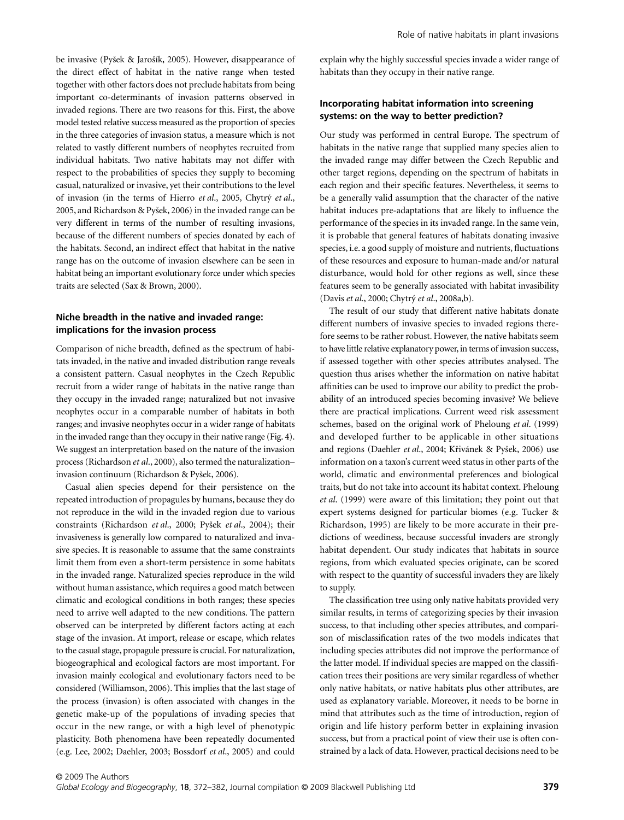be invasive (Pyšek & Jarošík, 2005). However, disappearance of the direct effect of habitat in the native range when tested together with other factors does not preclude habitats from being important co-determinants of invasion patterns observed in invaded regions. There are two reasons for this. First, the above model tested relative success measured as the proportion of species in the three categories of invasion status, a measure which is not related to vastly different numbers of neophytes recruited from individual habitats. Two native habitats may not differ with respect to the probabilities of species they supply to becoming casual, naturalized or invasive, yet their contributions to the level of invasion (in the terms of Hierro *et al*., 2005, Chytry *et al*., 2005, and Richardson & Pyßek, 2006) in the invaded range can be very different in terms of the number of resulting invasions, because of the different numbers of species donated by each of the habitats. Second, an indirect effect that habitat in the native range has on the outcome of invasion elsewhere can be seen in habitat being an important evolutionary force under which species traits are selected (Sax & Brown, 2000).

## **Niche breadth in the native and invaded range: implications for the invasion process**

Comparison of niche breadth, defined as the spectrum of habitats invaded, in the native and invaded distribution range reveals a consistent pattern. Casual neophytes in the Czech Republic recruit from a wider range of habitats in the native range than they occupy in the invaded range; naturalized but not invasive neophytes occur in a comparable number of habitats in both ranges; and invasive neophytes occur in a wider range of habitats in the invaded range than they occupy in their native range (Fig. 4). We suggest an interpretation based on the nature of the invasion process (Richardson *et al*., 2000), also termed the naturalization– invasion continuum (Richardson & Pyßek, 2006).

Casual alien species depend for their persistence on the repeated introduction of propagules by humans, because they do not reproduce in the wild in the invaded region due to various constraints (Richardson *et al*., 2000; Pyßek *et al*., 2004); their invasiveness is generally low compared to naturalized and invasive species. It is reasonable to assume that the same constraints limit them from even a short-term persistence in some habitats in the invaded range. Naturalized species reproduce in the wild without human assistance, which requires a good match between climatic and ecological conditions in both ranges; these species need to arrive well adapted to the new conditions. The pattern observed can be interpreted by different factors acting at each stage of the invasion. At import, release or escape, which relates to the casual stage, propagule pressure is crucial. For naturalization, biogeographical and ecological factors are most important. For invasion mainly ecological and evolutionary factors need to be considered (Williamson, 2006). This implies that the last stage of the process (invasion) is often associated with changes in the genetic make-up of the populations of invading species that occur in the new range, or with a high level of phenotypic plasticity. Both phenomena have been repeatedly documented (e.g. Lee, 2002; Daehler, 2003; Bossdorf *et al*., 2005) and could explain why the highly successful species invade a wider range of habitats than they occupy in their native range.

#### **Incorporating habitat information into screening systems: on the way to better prediction?**

Our study was performed in central Europe. The spectrum of habitats in the native range that supplied many species alien to the invaded range may differ between the Czech Republic and other target regions, depending on the spectrum of habitats in each region and their specific features. Nevertheless, it seems to be a generally valid assumption that the character of the native habitat induces pre-adaptations that are likely to influence the performance of the species in its invaded range. In the same vein, it is probable that general features of habitats donating invasive species, i.e. a good supply of moisture and nutrients, fluctuations of these resources and exposure to human-made and/or natural disturbance, would hold for other regions as well, since these features seem to be generally associated with habitat invasibility (Davis *et al*., 2000; Chytry *et al*., 2008a,b).

The result of our study that different native habitats donate different numbers of invasive species to invaded regions therefore seems to be rather robust. However, the native habitats seem to have little relative explanatory power, in terms of invasion success, if assessed together with other species attributes analysed. The question thus arises whether the information on native habitat affinities can be used to improve our ability to predict the probability of an introduced species becoming invasive? We believe there are practical implications. Current weed risk assessment schemes, based on the original work of Pheloung *et al*. (1999) and developed further to be applicable in other situations and regions (Daehler *et al*., 2004; Krivánek & Pyßek, 2006) use information on a taxon's current weed status in other parts of the world, climatic and environmental preferences and biological traits, but do not take into account its habitat context. Pheloung *et al*. (1999) were aware of this limitation; they point out that expert systems designed for particular biomes (e.g. Tucker & Richardson, 1995) are likely to be more accurate in their predictions of weediness, because successful invaders are strongly habitat dependent. Our study indicates that habitats in source regions, from which evaluated species originate, can be scored with respect to the quantity of successful invaders they are likely to supply.

The classification tree using only native habitats provided very similar results, in terms of categorizing species by their invasion success, to that including other species attributes, and comparison of misclassification rates of the two models indicates that including species attributes did not improve the performance of the latter model. If individual species are mapped on the classification trees their positions are very similar regardless of whether only native habitats, or native habitats plus other attributes, are used as explanatory variable. Moreover, it needs to be borne in mind that attributes such as the time of introduction, region of origin and life history perform better in explaining invasion success, but from a practical point of view their use is often constrained by a lack of data. However, practical decisions need to be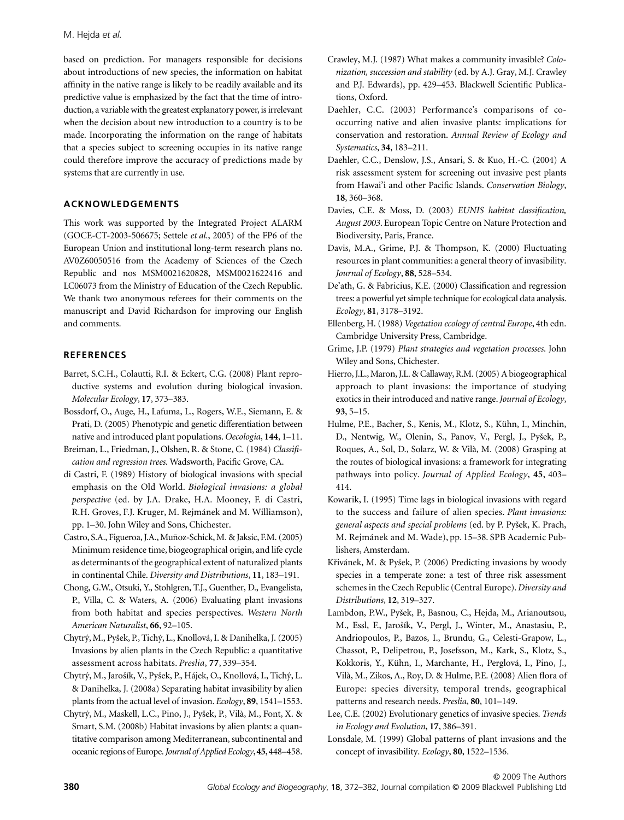based on prediction. For managers responsible for decisions about introductions of new species, the information on habitat affinity in the native range is likely to be readily available and its predictive value is emphasized by the fact that the time of introduction, a variable with the greatest explanatory power, is irrelevant when the decision about new introduction to a country is to be made. Incorporating the information on the range of habitats that a species subject to screening occupies in its native range could therefore improve the accuracy of predictions made by systems that are currently in use.

## **ACKNOWLEDGEMENTS**

This work was supported by the Integrated Project ALARM (GOCE-CT-2003-506675; Settele *et al*., 2005) of the FP6 of the European Union and institutional long-term research plans no. AV0Z60050516 from the Academy of Sciences of the Czech Republic and nos MSM0021620828, MSM0021622416 and LC06073 from the Ministry of Education of the Czech Republic. We thank two anonymous referees for their comments on the manuscript and David Richardson for improving our English and comments.

## **REFERENCES**

- Barret, S.C.H., Colautti, R.I. & Eckert, C.G. (2008) Plant reproductive systems and evolution during biological invasion. *Molecular Ecology*, **17**, 373–383.
- Bossdorf, O., Auge, H., Lafuma, L., Rogers, W.E., Siemann, E. & Prati, D. (2005) Phenotypic and genetic differentiation between native and introduced plant populations. *Oecologia*, **144**, 1–11.
- Breiman, L., Friedman, J., Olshen, R. & Stone, C. (1984) *Classification and regression trees*. Wadsworth, Pacific Grove, CA.
- di Castri, F. (1989) History of biological invasions with special emphasis on the Old World. *Biological invasions: a global perspective* (ed. by J.A. Drake, H.A. Mooney, F. di Castri, R.H. Groves, F.J. Kruger, M. Rejmánek and M. Williamson), pp. 1–30. John Wiley and Sons, Chichester.
- Castro, S.A., Figueroa, J.A., Muñoz-Schick, M. & Jaksic, F.M. (2005) Minimum residence time, biogeographical origin, and life cycle as determinants of the geographical extent of naturalized plants in continental Chile. *Diversity and Distributions*, **11**, 183–191.
- Chong, G.W., Otsuki, Y., Stohlgren, T.J., Guenther, D., Evangelista, P., Villa, C. & Waters, A. (2006) Evaluating plant invasions from both habitat and species perspectives. *Western North American Naturalist*, **66**, 92–105.
- Chytry, M., Pyßek, P., Tichy, L., Knollová, I. & Danihelka, J. (2005) Invasions by alien plants in the Czech Republic: a quantitative assessment across habitats. *Preslia*, **77**, 339–354.
- Chytry, M., Jaroßík, V., Pyßek, P., Hájek, O., Knollová, I., Tichy, L. & Danihelka, J. (2008a) Separating habitat invasibility by alien plants from the actual level of invasion. *Ecology*, **89**, 1541–1553.
- Chytry, M., Maskell, L.C., Pino, J., Pyßek, P., Vilà, M., Font, X. & Smart, S.M. (2008b) Habitat invasions by alien plants: a quantitative comparison among Mediterranean, subcontinental and oceanic regions of Europe. *Journal of Applied Ecology*, **45**, 448–458.
- Crawley, M.J. (1987) What makes a community invasible? *Colonization, succession and stability* (ed. by A.J. Gray, M.J. Crawley and P.J. Edwards), pp. 429–453. Blackwell Scientific Publications, Oxford.
- Daehler, C.C. (2003) Performance's comparisons of cooccurring native and alien invasive plants: implications for conservation and restoration. *Annual Review of Ecology and Systematics*, **34**, 183–211.
- Daehler, C.C., Denslow, J.S., Ansari, S. & Kuo, H.-C. (2004) A risk assessment system for screening out invasive pest plants from Hawai'i and other Pacific Islands. *Conservation Biology*, **18**, 360–368.
- Davies, C.E. & Moss, D. (2003) *EUNIS habitat classification, August 2003*. European Topic Centre on Nature Protection and Biodiversity, Paris, France.
- Davis, M.A., Grime, P.J. & Thompson, K. (2000) Fluctuating resources in plant communities: a general theory of invasibility. *Journal of Ecology*, **88**, 528–534.
- De'ath, G. & Fabricius, K.E. (2000) Classification and regression trees: a powerful yet simple technique for ecological data analysis. *Ecology*, **81**, 3178–3192.
- Ellenberg, H. (1988) *Vegetation ecology of central Europe*, 4th edn. Cambridge University Press, Cambridge.
- Grime, J.P. (1979) *Plant strategies and vegetation processes*. John Wiley and Sons, Chichester.
- Hierro, J.L., Maron, J.L. & Callaway, R.M. (2005) A biogeographical approach to plant invasions: the importance of studying exotics in their introduced and native range. *Journal of Ecology*, **93**, 5–15.
- Hulme, P.E., Bacher, S., Kenis, M., Klotz, S., Kühn, I., Minchin, D., Nentwig, W., Olenin, S., Panov, V., Pergl, J., Pyßek, P., Roques, A., Sol, D., Solarz, W. & Vilà, M. (2008) Grasping at the routes of biological invasions: a framework for integrating pathways into policy. *Journal of Applied Ecology*, **45**, 403– 414.
- Kowarik, I. (1995) Time lags in biological invasions with regard to the success and failure of alien species. *Plant invasions: general aspects and special problems* (ed. by P. Pyßek, K. Prach, M. Rejmánek and M. Wade), pp. 15–38. SPB Academic Publishers, Amsterdam.
- Křivánek, M. & Pyšek, P. (2006) Predicting invasions by woody species in a temperate zone: a test of three risk assessment schemes in the Czech Republic (Central Europe). *Diversity and Distributions*, **12**, 319–327.
- Lambdon, P.W., Pyßek, P., Basnou, C., Hejda, M., Arianoutsou, M., Essl, F., Jaroßík, V., Pergl, J., Winter, M., Anastasiu, P., Andriopoulos, P., Bazos, I., Brundu, G., Celesti-Grapow, L., Chassot, P., Delipetrou, P., Josefsson, M., Kark, S., Klotz, S., Kokkoris, Y., Kühn, I., Marchante, H., Perglová, I., Pino, J., Vilà, M., Zikos, A., Roy, D. & Hulme, P.E. (2008) Alien flora of Europe: species diversity, temporal trends, geographical patterns and research needs. *Preslia*, **80**, 101–149.
- Lee, C.E. (2002) Evolutionary genetics of invasive species. *Trends in Ecology and Evolution*, **17**, 386–391.
- Lonsdale, M. (1999) Global patterns of plant invasions and the concept of invasibility. *Ecology*, **80**, 1522–1536.

© 2009 The Authors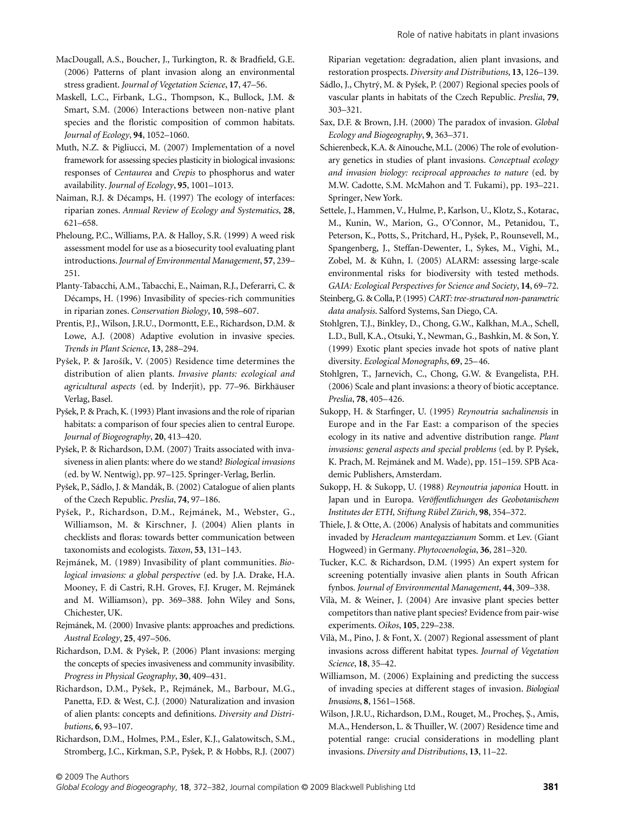MacDougall, A.S., Boucher, J., Turkington, R. & Bradfield, G.E. (2006) Patterns of plant invasion along an environmental stress gradient. *Journal of Vegetation Science*, **17**, 47–56.

Maskell, L.C., Firbank, L.G., Thompson, K., Bullock, J.M. & Smart, S.M. (2006) Interactions between non-native plant species and the floristic composition of common habitats. *Journal of Ecology*, **94**, 1052–1060.

Muth, N.Z. & Pigliucci, M. (2007) Implementation of a novel framework for assessing species plasticity in biological invasions: responses of *Centaurea* and *Crepis* to phosphorus and water availability. *Journal of Ecology*, **95**, 1001–1013.

Naiman, R.J. & Décamps, H. (1997) The ecology of interfaces: riparian zones. *Annual Review of Ecology and Systematics*, **28**, 621–658.

Pheloung, P.C., Williams, P.A. & Halloy, S.R. (1999) A weed risk assessment model for use as a biosecurity tool evaluating plant introductions. *Journal of Environmental Management*, **57**, 239– 251.

Planty-Tabacchi, A.M., Tabacchi, E., Naiman, R.J., Deferarri, C. & Décamps, H. (1996) Invasibility of species-rich communities in riparian zones. *Conservation Biology*, **10**, 598–607.

Prentis, P.J., Wilson, J.R.U., Dormontt, E.E., Richardson, D.M. & Lowe, A.J. (2008) Adaptive evolution in invasive species. *Trends in Plant Science*, **13**, 288–294.

Pyßek, P. & Jaroßík, V. (2005) Residence time determines the distribution of alien plants. *Invasive plants: ecological and agricultural aspects* (ed. by Inderjit), pp. 77–96. Birkhäuser Verlag, Basel.

Pyßek, P. & Prach, K. (1993) Plant invasions and the role of riparian habitats: a comparison of four species alien to central Europe. *Journal of Biogeography*, **20**, 413–420.

Pyßek, P. & Richardson, D.M. (2007) Traits associated with invasiveness in alien plants: where do we stand? *Biological invasions* (ed. by W. Nentwig), pp. 97–125. Springer-Verlag, Berlin.

Pyßek, P., Sádlo, J. & Mandák, B. (2002) Catalogue of alien plants of the Czech Republic. *Preslia*, **74**, 97–186.

Pyßek, P., Richardson, D.M., Rejmánek, M., Webster, G., Williamson, M. & Kirschner, J. (2004) Alien plants in checklists and floras: towards better communication between taxonomists and ecologists. *Taxon*, **53**, 131–143.

Rejmánek, M. (1989) Invasibility of plant communities. *Biological invasions: a global perspective* (ed. by J.A. Drake, H.A. Mooney, F. di Castri, R.H. Groves, F.J. Kruger, M. Rejmánek and M. Williamson), pp. 369–388. John Wiley and Sons, Chichester, UK.

Rejmánek, M. (2000) Invasive plants: approaches and predictions. *Austral Ecology*, **25**, 497–506.

Richardson, D.M. & Pyßek, P. (2006) Plant invasions: merging the concepts of species invasiveness and community invasibility. *Progress in Physical Geography*, **30**, 409–431.

Richardson, D.M., Pyßek, P., Rejmánek, M., Barbour, M.G., Panetta, F.D. & West, C.J. (2000) Naturalization and invasion of alien plants: concepts and definitions. *Diversity and Distributions*, **6**, 93–107.

Richardson, D.M., Holmes, P.M., Esler, K.J., Galatowitsch, S.M., Stromberg, J.C., Kirkman, S.P., Pyßek, P. & Hobbs, R.J. (2007) Riparian vegetation: degradation, alien plant invasions, and restoration prospects. *Diversity and Distributions*, **13**, 126–139.

Sádlo, J., Chytry, M. & Pyßek, P. (2007) Regional species pools of vascular plants in habitats of the Czech Republic. *Preslia*, **79**, 303–321.

Sax, D.F. & Brown, J.H. (2000) The paradox of invasion. *Global Ecology and Biogeography*, **9**, 363–371.

Schierenbeck, K.A. & Aïnouche, M.L. (2006) The role of evolutionary genetics in studies of plant invasions. *Conceptual ecology and invasion biology: reciprocal approaches to nature* (ed. by M.W. Cadotte, S.M. McMahon and T. Fukami), pp. 193–221. Springer, New York.

Settele, J., Hammen, V., Hulme, P., Karlson, U., Klotz, S., Kotarac, M., Kunin, W., Marion, G., O'Connor, M., Petanidou, T., Peterson, K., Potts, S., Pritchard, H., Pyßek, P., Rounsevell, M., Spangenberg, J., Steffan-Dewenter, I., Sykes, M., Vighi, M., Zobel, M. & Kühn, I. (2005) ALARM: assessing large-scale environmental risks for biodiversity with tested methods. *GAIA: Ecological Perspectives for Science and Society*, **14**, 69–72.

Steinberg, G. & Colla, P. (1995) *CART: tree-structured non-parametric data analysis*. Salford Systems, San Diego, CA.

Stohlgren, T.J., Binkley, D., Chong, G.W., Kalkhan, M.A., Schell, L.D., Bull, K.A., Otsuki, Y., Newman, G., Bashkin, M. & Son, Y. (1999) Exotic plant species invade hot spots of native plant diversity. *Ecological Monographs*, **69**, 25–46.

Stohlgren, T., Jarnevich, C., Chong, G.W. & Evangelista, P.H. (2006) Scale and plant invasions: a theory of biotic acceptance. *Preslia*, **78**, 405–426.

Sukopp, H. & Starfinger, U. (1995) *Reynoutria sachalinensis* in Europe and in the Far East: a comparison of the species ecology in its native and adventive distribution range. *Plant invasions: general aspects and special problems* (ed. by P. Pyßek, K. Prach, M. Rejmánek and M. Wade), pp. 151–159. SPB Academic Publishers, Amsterdam.

Sukopp, H. & Sukopp, U. (1988) *Reynoutria japonica* Houtt. in Japan und in Europa. *Veröffentlichungen des Geobotanischem Institutes der ETH, Stiftung Rübel Zürich*, **98**, 354–372.

Thiele, J. & Otte, A. (2006) Analysis of habitats and communities invaded by *Heracleum mantegazzianum* Somm. et Lev. (Giant Hogweed) in Germany. *Phytocoenologia*, **36**, 281–320.

Tucker, K.C. & Richardson, D.M. (1995) An expert system for screening potentially invasive alien plants in South African fynbos. *Journal of Environmental Management*, **44**, 309–338.

Vilà, M. & Weiner, J. (2004) Are invasive plant species better competitors than native plant species? Evidence from pair-wise experiments. *Oikos*, **105**, 229–238.

Vilà, M., Pino, J. & Font, X. (2007) Regional assessment of plant invasions across different habitat types. *Journal of Vegetation Science*, **18**, 35–42.

Williamson, M. (2006) Explaining and predicting the success of invading species at different stages of invasion. *Biological Invasions*, **8**, 1561–1568.

Wilson, J.R.U., Richardson, D.M., Rouget, M., Proches, S., Amis, M.A., Henderson, L. & Thuiller, W. (2007) Residence time and potential range: crucial considerations in modelling plant invasions. *Diversity and Distributions*, **13**, 11–22.